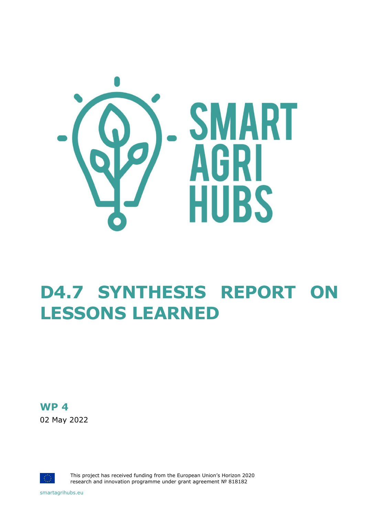

# **D4.7 SYNTHESIS REPORT ON LESSONS LEARNED**

### **WP 4**

02 May 2022



This project has received funding from the European Union's Horizon 2020 research and innovation programme under grant agreement № 818182

smartagrihubs.eu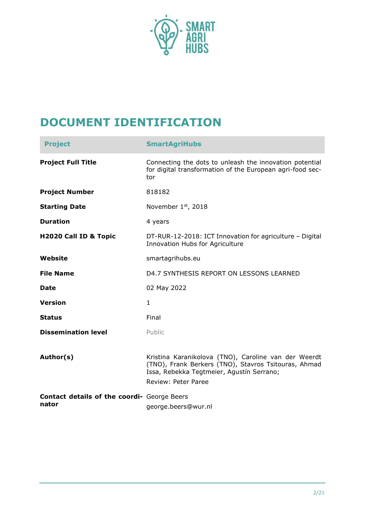

## **DOCUMENT IDENTIFICATION**

| <b>Project</b>                                       | <b>SmartAgriHubs</b>                                                                                                                                                                    |
|------------------------------------------------------|-----------------------------------------------------------------------------------------------------------------------------------------------------------------------------------------|
| <b>Project Full Title</b>                            | Connecting the dots to unleash the innovation potential<br>for digital transformation of the European agri-food sec-<br>tor                                                             |
| <b>Project Number</b>                                | 818182                                                                                                                                                                                  |
| <b>Starting Date</b>                                 | November 1 <sup>st</sup> , 2018                                                                                                                                                         |
| <b>Duration</b>                                      | 4 years                                                                                                                                                                                 |
| H2020 Call ID & Topic                                | DT-RUR-12-2018: ICT Innovation for agriculture - Digital<br>Innovation Hubs for Agriculture                                                                                             |
| Website                                              | smartagrihubs.eu                                                                                                                                                                        |
| <b>File Name</b>                                     | D4.7 SYNTHESIS REPORT ON LESSONS LEARNED                                                                                                                                                |
| <b>Date</b>                                          | 02 May 2022                                                                                                                                                                             |
| <b>Version</b>                                       | $\mathbf{1}$                                                                                                                                                                            |
| <b>Status</b>                                        | Final                                                                                                                                                                                   |
| <b>Dissemination level</b>                           | Public                                                                                                                                                                                  |
| Author(s)                                            | Kristina Karanikolova (TNO), Caroline van der Weerdt<br>(TNO), Frank Berkers (TNO), Stavros Tsitouras, Ahmad<br>Issa, Rebekka Tegtmeier, Agustín Serrano;<br><b>Review: Peter Paree</b> |
| Contact details of the coordi- George Beers<br>nator | george.beers@wur.nl                                                                                                                                                                     |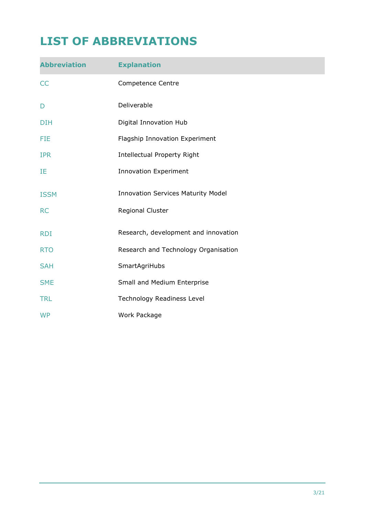## **LIST OF ABBREVIATIONS**

| <b>Abbreviation</b> | <b>Explanation</b>                        |
|---------------------|-------------------------------------------|
| <b>CC</b>           | Competence Centre                         |
| D                   | Deliverable                               |
| <b>DIH</b>          | Digital Innovation Hub                    |
| <b>FIE</b>          | Flagship Innovation Experiment            |
| <b>IPR</b>          | <b>Intellectual Property Right</b>        |
| IE                  | <b>Innovation Experiment</b>              |
| <b>ISSM</b>         | <b>Innovation Services Maturity Model</b> |
| <b>RC</b>           | Regional Cluster                          |
| <b>RDI</b>          | Research, development and innovation      |
| <b>RTO</b>          | Research and Technology Organisation      |
| <b>SAH</b>          | SmartAgriHubs                             |
| <b>SME</b>          | Small and Medium Enterprise               |
| <b>TRL</b>          | Technology Readiness Level                |
| <b>WP</b>           | Work Package                              |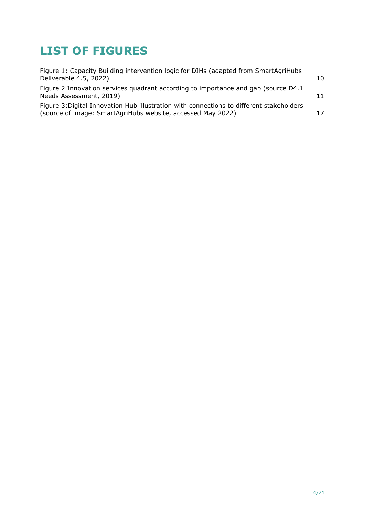## **LIST OF FIGURES**

| Figure 1: Capacity Building intervention logic for DIHs (adapted from SmartAgriHubs<br>Deliverable 4.5, 2022)                                           | 10 |
|---------------------------------------------------------------------------------------------------------------------------------------------------------|----|
| Figure 2 Innovation services quadrant according to importance and gap (source D4.1)<br>Needs Assessment, 2019)                                          | 11 |
| Figure 3: Digital Innovation Hub illustration with connections to different stakeholders<br>(source of image: SmartAgriHubs website, accessed May 2022) | 17 |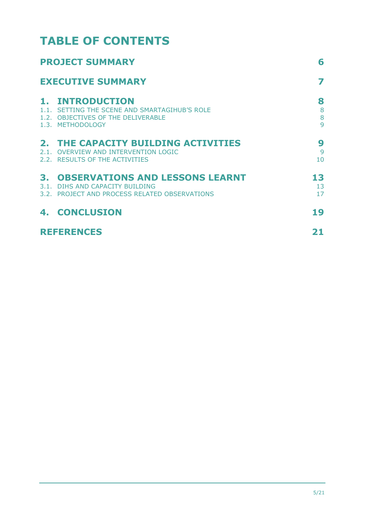## **TABLE OF CONTENTS**

|                          | <b>PROJECT SUMMARY</b>                                                                                                         |                           |
|--------------------------|--------------------------------------------------------------------------------------------------------------------------------|---------------------------|
| <b>EXECUTIVE SUMMARY</b> |                                                                                                                                |                           |
| 1.                       | <b>INTRODUCTION</b><br>1.1. SETTING THE SCENE AND SMARTAGIHUB'S ROLE<br>1.2. OBJECTIVES OF THE DELIVERABLE<br>1.3. METHODOLOGY | 8<br>8<br>8<br>9          |
|                          | 2. THE CAPACITY BUILDING ACTIVITIES<br>2.1. OVERVIEW AND INTERVENTION LOGIC<br>2.2. RESULTS OF THE ACTIVITIES                  | 9<br>9<br>10 <sup>1</sup> |
|                          | <b>3. OBSERVATIONS AND LESSONS LEARNT</b><br>3.1. DIHS AND CAPACITY BUILDING<br>3.2. PROJECT AND PROCESS RELATED OBSERVATIONS  | 13<br>13<br>17            |
|                          | <b>4. CONCLUSION</b>                                                                                                           | 19                        |
| <b>REFERENCES</b>        |                                                                                                                                | 21                        |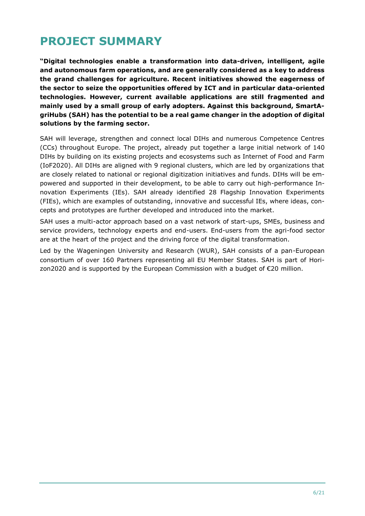## <span id="page-5-0"></span>**PROJECT SUMMARY**

**"Digital technologies enable a transformation into data-driven, intelligent, agile and autonomous farm operations, and are generally considered as a key to address the grand challenges for agriculture. Recent initiatives showed the eagerness of the sector to seize the opportunities offered by ICT and in particular data-oriented technologies. However, current available applications are still fragmented and mainly used by a small group of early adopters. Against this background, SmartAgriHubs (SAH) has the potential to be a real game changer in the adoption of digital solutions by the farming sector.**

SAH will leverage, strengthen and connect local DIHs and numerous Competence Centres (CCs) throughout Europe. The project, already put together a large initial network of 140 DIHs by building on its existing projects and ecosystems such as Internet of Food and Farm (IoF2020). All DIHs are aligned with 9 regional clusters, which are led by organizations that are closely related to national or regional digitization initiatives and funds. DIHs will be empowered and supported in their development, to be able to carry out high-performance Innovation Experiments (IEs). SAH already identified 28 Flagship Innovation Experiments (FIEs), which are examples of outstanding, innovative and successful IEs, where ideas, concepts and prototypes are further developed and introduced into the market.

SAH uses a multi-actor approach based on a vast network of start-ups, SMEs, business and service providers, technology experts and end-users. End-users from the agri-food sector are at the heart of the project and the driving force of the digital transformation.

Led by the Wageningen University and Research (WUR), SAH consists of a pan-European consortium of over 160 Partners representing all EU Member States. SAH is part of Horizon2020 and is supported by the European Commission with a budget of €20 million.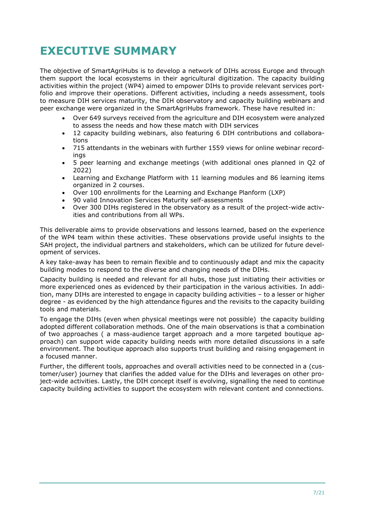## <span id="page-6-0"></span>**EXECUTIVE SUMMARY**

The objective of SmartAgriHubs is to develop a network of DIHs across Europe and through them support the local ecosystems in their agricultural digitization. The capacity building activities within the project (WP4) aimed to empower DIHs to provide relevant services portfolio and improve their operations. Different activities, including a needs assessment, tools to measure DIH services maturity, the DIH observatory and capacity building webinars and peer exchange were organized in the SmartAgriHubs framework. These have resulted in:

- Over 649 surveys received from the agriculture and DIH ecosystem were analyzed to assess the needs and how these match with DIH services
- 12 capacity building webinars, also featuring 6 DIH contributions and collaborations
- 715 attendants in the webinars with further 1559 views for online webinar recordings
- 5 peer learning and exchange meetings (with additional ones planned in Q2 of 2022)
- Learning and Exchange Platform with 11 learning modules and 86 learning items organized in 2 courses.
- Over 100 enrollments for the Learning and Exchange Planform (LXP)
- 90 valid Innovation Services Maturity self-assessments
- Over 300 DIHs registered in the observatory as a result of the project-wide activities and contributions from all WPs.

This deliverable aims to provide observations and lessons learned, based on the experience of the WP4 team within these activities. These observations provide useful insights to the SAH project, the individual partners and stakeholders, which can be utilized for future development of services.

A key take-away has been to remain flexible and to continuously adapt and mix the capacity building modes to respond to the diverse and changing needs of the DIHs.

Capacity building is needed and relevant for all hubs, those just initiating their activities or more experienced ones as evidenced by their participation in the various activities. In addition, many DIHs are interested to engage in capacity building activities – to a lesser or higher degree - as evidenced by the high attendance figures and the revisits to the capacity building tools and materials.

To engage the DIHs (even when physical meetings were not possible) the capacity building adopted different collaboration methods. One of the main observations is that a combination of two approaches ( a mass-audience target approach and a more targeted boutique approach) can support wide capacity building needs with more detailed discussions in a safe environment. The boutique approach also supports trust building and raising engagement in a focused manner.

Further, the different tools, approaches and overall activities need to be connected in a (customer/user) journey that clarifies the added value for the DIHs and leverages on other project-wide activities. Lastly, the DIH concept itself is evolving, signalling the need to continue capacity building activities to support the ecosystem with relevant content and connections.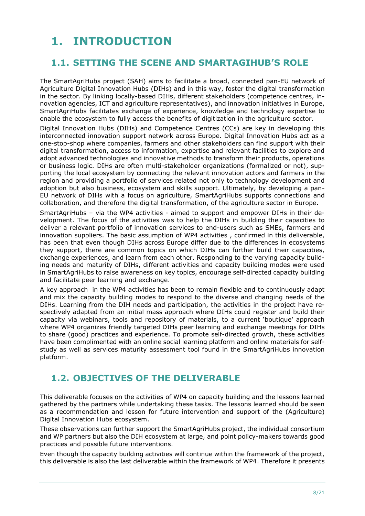## <span id="page-7-0"></span>**1. INTRODUCTION**

### <span id="page-7-1"></span>**1.1. SETTING THE SCENE AND SMARTAGIHUB'S ROLE**

The SmartAgriHubs project (SAH) aims to facilitate a broad, connected pan-EU network of Agriculture Digital Innovation Hubs (DIHs) and in this way, foster the digital transformation in the sector. By linking locally-based DIHs, different stakeholders (competence centres, innovation agencies, ICT and agriculture representatives), and innovation initiatives in Europe, SmartAgriHubs facilitates exchange of experience, knowledge and technology expertise to enable the ecosystem to fully access the benefits of digitization in the agriculture sector.

Digital Innovation Hubs (DIHs) and Competence Centres (CCs) are key in developing this interconnected innovation support network across Europe. Digital Innovation Hubs act as a one-stop-shop where companies, farmers and other stakeholders can find support with their digital transformation, access to information, expertise and relevant facilities to explore and adopt advanced technologies and innovative methods to transform their products, operations or business logic. DIHs are often multi-stakeholder organizations (formalized or not), supporting the local ecosystem by connecting the relevant innovation actors and farmers in the region and providing a portfolio of services related not only to technology development and adoption but also business, ecosystem and skills support. Ultimately, by developing a pan-EU network of DIHs with a focus on agriculture, SmartAgriHubs supports connections and collaboration, and therefore the digital transformation, of the agriculture sector in Europe.

SmartAgriHubs – via the WP4 activities - aimed to support and empower DIHs in their development. The focus of the activities was to help the DIHs in building their capacities to deliver a relevant portfolio of innovation services to end-users such as SMEs, farmers and innovation suppliers. The basic assumption of WP4 activities , confirmed in this deliverable, has been that even though DIHs across Europe differ due to the differences in ecosystems they support, there are common topics on which DIHs can further build their capacities, exchange experiences, and learn from each other. Responding to the varying capacity building needs and maturity of DIHs, different activities and capacity building modes were used in SmartAgriHubs to raise awareness on key topics, encourage self-directed capacity building and facilitate peer learning and exchange.

A key approach in the WP4 activities has been to remain flexible and to continuously adapt and mix the capacity building modes to respond to the diverse and changing needs of the DIHs. Learning from the DIH needs and participation, the activities in the project have respectively adapted from an initial mass approach where DIHs could register and build their capacity via webinars, tools and repository of materials, to a current 'boutique' approach where WP4 organizes friendly targeted DIHs peer learning and exchange meetings for DIHs to share (good) practices and experience. To promote self-directed growth, these activities have been complimented with an online social learning platform and online materials for selfstudy as well as services maturity assessment tool found in the SmartAgriHubs innovation platform.

### <span id="page-7-2"></span>**1.2. OBJECTIVES OF THE DELIVERABLE**

This deliverable focuses on the activities of WP4 on capacity building and the lessons learned gathered by the partners while undertaking these tasks. The lessons learned should be seen as a recommendation and lesson for future intervention and support of the (Agriculture) Digital Innovation Hubs ecosystem.

These observations can further support the SmartAgriHubs project, the individual consortium and WP partners but also the DIH ecosystem at large, and point policy-makers towards good practices and possible future interventions.

Even though the capacity building activities will continue within the framework of the project, this deliverable is also the last deliverable within the framework of WP4. Therefore it presents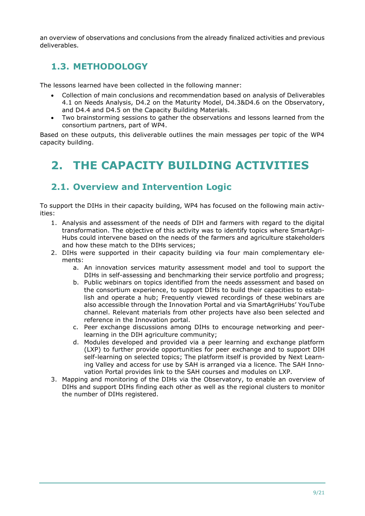an overview of observations and conclusions from the already finalized activities and previous deliverables.

### <span id="page-8-0"></span>**1.3. METHODOLOGY**

The lessons learned have been collected in the following manner:

- Collection of main conclusions and recommendation based on analysis of Deliverables 4.1 on Needs Analysis, D4.2 on the Maturity Model, D4.3&D4.6 on the Observatory, and D4.4 and D4.5 on the Capacity Building Materials.
- Two brainstorming sessions to gather the observations and lessons learned from the consortium partners, part of WP4.

Based on these outputs, this deliverable outlines the main messages per topic of the WP4 capacity building.

## <span id="page-8-1"></span>**2. THE CAPACITY BUILDING ACTIVITIES**

### <span id="page-8-2"></span>**2.1. Overview and Intervention Logic**

To support the DIHs in their capacity building, WP4 has focused on the following main activities:

- 1. Analysis and assessment of the needs of DIH and farmers with regard to the digital transformation. The objective of this activity was to identify topics where SmartAgri-Hubs could intervene based on the needs of the farmers and agriculture stakeholders and how these match to the DIHs services;
- 2. DIHs were supported in their capacity building via four main complementary elements:
	- a. An innovation services maturity assessment model and tool to support the DIHs in self-assessing and benchmarking their service portfolio and progress;
	- b. Public webinars on topics identified from the needs assessment and based on the consortium experience, to support DIHs to build their capacities to establish and operate a hub; Frequently viewed recordings of these webinars are also accessible through the Innovation Portal and via SmartAgriHubs' YouTube channel. Relevant materials from other projects have also been selected and reference in the Innovation portal.
	- c. Peer exchange discussions among DIHs to encourage networking and peerlearning in the DIH agriculture community;
	- d. Modules developed and provided via a peer learning and exchange platform (LXP) to further provide opportunities for peer exchange and to support DIH self-learning on selected topics; The platform itself is provided by Next Learning Valley and access for use by SAH is arranged via a licence. The SAH Innovation Portal provides link to the SAH courses and modules on LXP.
- 3. Mapping and monitoring of the DIHs via the Observatory, to enable an overview of DIHs and support DIHs finding each other as well as the regional clusters to monitor the number of DIHs registered.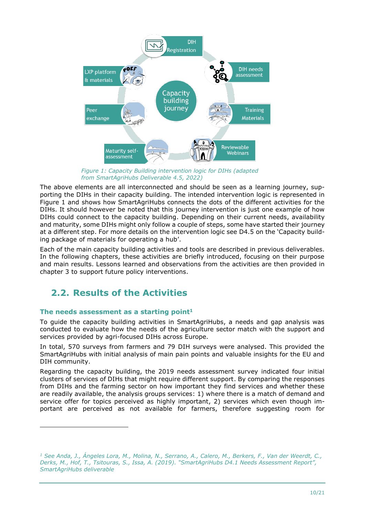

*Figure 1: Capacity Building intervention logic for DIHs (adapted from SmartAgriHubs Deliverable 4.5, 2022)*

The above elements are all interconnected and should be seen as a learning journey, supporting the DIHs in their capacity building. The intended intervention logic is represented in Figure 1 and shows how SmartAgriHubs connects the dots of the different activities for the DIHs. It should however be noted that this journey intervention is just one example of how DIHs could connect to the capacity building. Depending on their current needs, availability and maturity, some DIHs might only follow a couple of steps, some have started their journey at a different step. For more details on the intervention logic see D4.5 on the 'Capacity building package of materials for operating a hub'.

Each of the main capacity building activities and tools are described in previous deliverables. In the following chapters, these activities are briefly introduced, focusing on their purpose and main results. Lessons learned and observations from the activities are then provided in chapter 3 to support future policy interventions.

### <span id="page-9-0"></span>**2.2. Results of the Activities**

#### **The needs assessment as a starting point<sup>1</sup>**

To guide the capacity building activities in SmartAgriHubs, a needs and gap analysis was conducted to evaluate how the needs of the agriculture sector match with the support and services provided by agri-focused DIHs across Europe.

In total, 570 surveys from farmers and 79 DIH surveys were analysed. This provided the SmartAgriHubs with initial analysis of main pain points and valuable insights for the EU and DIH community.

Regarding the capacity building, the 2019 needs assessment survey indicated four initial clusters of services of DIHs that might require different support. By comparing the responses from DIHs and the farming sector on how important they find services and whether these are readily available, the analysis groups services: 1) where there is a match of demand and service offer for topics perceived as highly important, 2) services which even though important are perceived as not available for farmers, therefore suggesting room for

*<sup>1</sup> See Anda, J., Ángeles Lora, M., Molina, N., Serrano, A., Calero, M., Berkers, F., Van der Weerdt, C., Derks, M., Hof, T., Tsitouras, S., Issa, A. (2019). "SmartAgriHubs D4.1 Needs Assessment Report", SmartAgriHubs deliverable*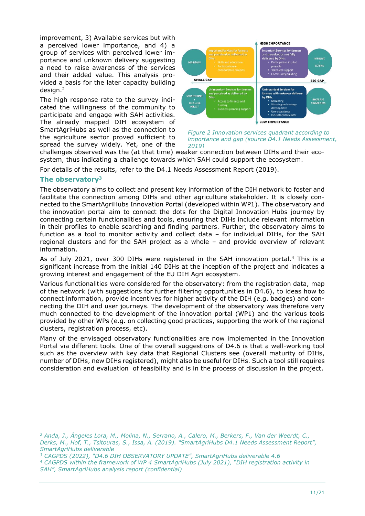improvement, 3) Available services but with a perceived lower importance, and 4) a group of services with perceived lower importance and unknown delivery suggesting a need to raise awareness of the services and their added value. This analysis provided a basis for the later capacity building design.<sup>2</sup>

The high response rate to the survey indicated the willingness of the community to participate and engage with SAH activities. The already mapped DIH ecosystem of SmartAgriHubs as well as the connection to the agriculture sector proved sufficient to spread the survey widely. Yet, one of the



*Figure 2 Innovation services quadrant according to importance and gap (source D4.1 Needs Assessment, 2019)*

challenges observed was the (at that time) weaker connection between DIHs and their ecosystem, thus indicating a challenge towards which SAH could support the ecosystem.

For details of the results, refer to the D4.1 Needs Assessment Report (2019).

#### **The observatory<sup>3</sup>**

The observatory aims to collect and present key information of the DIH network to foster and facilitate the connection among DIHs and other agriculture stakeholder. It is closely connected to the SmartAgriHubs Innovation Portal (developed within WP1). The observatory and the innovation portal aim to connect the dots for the Digital Innovation Hubs journey by connecting certain functionalities and tools, ensuring that DIHs include relevant information in their profiles to enable searching and finding partners. Further, the observatory aims to function as a tool to monitor activity and collect data – for individual DIHs, for the SAH regional clusters and for the SAH project as a whole – and provide overview of relevant information.

As of July 2021, over 300 DIHs were registered in the SAH innovation portal.<sup>4</sup> This is a significant increase from the initial 140 DIHs at the inception of the project and indicates a growing interest and engagement of the EU DIH Agri ecosystem.

Various functionalities were considered for the observatory: from the registration data, map of the network (with suggestions for further filtering opportunities in D4.6), to ideas how to connect information, provide incentives for higher activity of the DIH (e.g. badges) and connecting the DIH and user journeys. The development of the observatory was therefore very much connected to the development of the innovation portal (WP1) and the various tools provided by other WPs (e.g. on collecting good practices, supporting the work of the regional clusters, registration process, etc).

Many of the envisaged observatory functionalities are now implemented in the Innovation Portal via different tools. One of the overall suggestions of D4.6 is that a well-working tool such as the overview with key data that Regional Clusters see (overall maturity of DIHs, number of DIHs, new DIHs registered), might also be useful for DIHs. Such a tool still requires consideration and evaluation of feasibility and is in the process of discussion in the project.

*<sup>2</sup> Anda, J., Ángeles Lora, M., Molina, N., Serrano, A., Calero, M., Berkers, F., Van der Weerdt, C., Derks, M., Hof, T., Tsitouras, S., Issa, A. (2019). "SmartAgriHubs D4.1 Needs Assessment Report", SmartAgriHubs deliverable*

*<sup>3</sup> CAGPDS (2022), "D4.6 DIH OBSERVATORY UPDATE", SmartAgriHubs deliverable 4.6*

*<sup>4</sup> CAGPDS within the framework of WP 4 SmartAgriHubs (July 2021), "DIH registration activity in SAH", SmartAgriHubs analysis report (confidential)*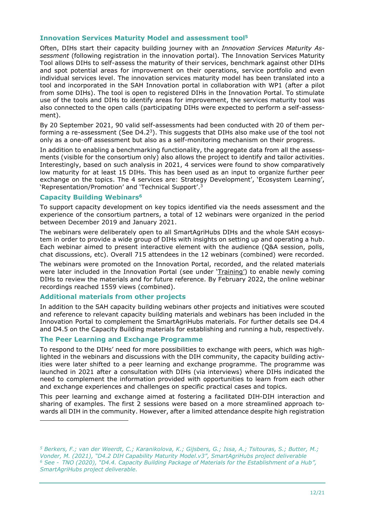#### **Innovation Services Maturity Model and assessment tool<sup>5</sup>**

Often, DIHs start their capacity building journey with an *Innovation Services Maturity Assessment* (following registration in the innovation portal). The Innovation Services Maturity Tool allows DIHs to self-assess the maturity of their services, benchmark against other DIHs and spot potential areas for improvement on their operations, service portfolio and even individual services level. The innovation services maturity model has been translated into a tool and incorporated in the SAH Innovation portal in collaboration with WP1 (after a pilot from some DIHs). The tool is open to registered DIHs in the Innovation Portal. To stimulate use of the tools and DIHs to identify areas for improvement, the services maturity tool was also connected to the open calls (participating DIHs were expected to perform a self-assessment).

By 20 September 2021, 90 valid self-assessments had been conducted with 20 of them performing a re-assessment (See D4.2<sup>3</sup>). This suggests that DIHs also make use of the tool not only as a one-off assessment but also as a self-monitoring mechanism on their progress.

In addition to enabling a benchmarking functionality, the aggregate data from all the assessments (visible for the consortium only) also allows the project to identify and tailor activities. Interestingly, based on such analysis in 2021, 4 services were found to show comparatively low maturity for at least 15 DIHs. This has been used as an input to organize further peer exchange on the topics. The 4 services are: Strategy Development', 'Ecosystem Learning', 'Representation/Promotion' and 'Technical Support'. 3

#### **Capacity Building Webinars<sup>6</sup>**

To support capacity development on key topics identified via the needs assessment and the experience of the consortium partners, a total of 12 webinars were organized in the period between December 2019 and January 2021.

The webinars were deliberately open to all SmartAgriHubs DIHs and the whole SAH ecosystem in order to provide a wide group of DIHs with insights on setting up and operating a hub. Each webinar aimed to present interactive element with the audience (Q&A session, polls, chat discussions, etc). Overall 715 attendees in the 12 webinars (combined) were recorded.

The webinars were promoted on the Innovation Portal, recorded, and the related materials were later included in the Innovation Portal (see under ['Training'](https://smartagrihubs.eu/portal/trainings?page=2)) to enable newly coming DIHs to review the materials and for future reference. By February 2022, the online webinar recordings reached 1559 views (combined).

#### **Additional materials from other projects**

In addition to the SAH capacity building webinars other projects and initiatives were scouted and reference to relevant capacity building materials and webinars has been included in the Innovation Portal to complement the SmartAgriHubs materials. For further details see D4.4 and D4.5 on the Capacity Building materials for establishing and running a hub, respectively.

#### **The Peer Learning and Exchange Programme**

To respond to the DIHs' need for more possibilities to exchange with peers, which was highlighted in the webinars and discussions with the DIH community, the capacity building activities were later shifted to a peer learning and exchange programme. The programme was launched in 2021 after a consultation with DIHs (via interviews) where DIHs indicated the need to complement the information provided with opportunities to learn from each other and exchange experiences and challenges on specific practical cases and topics.

This peer learning and exchange aimed at fostering a facilitated DIH-DIH interaction and sharing of examples. The first 2 sessions were based on a more streamlined approach towards all DIH in the community. However, after a limited attendance despite high registration

*<sup>5</sup> Berkers, F.; van der Weerdt, C.; Karanikolova, K.; Gijsbers, G.; Issa, A.; Tsitouras, S.; Butter, M.; Vonder, M. (2021), "D4.2 DIH Capability Maturity Model.v3", SmartAgriHubs project deliverable <sup>6</sup> See - TNO (2020), "D4.4. Capacity Building Package of Materials for the Establishment of a Hub", SmartAgriHubs project deliverable.*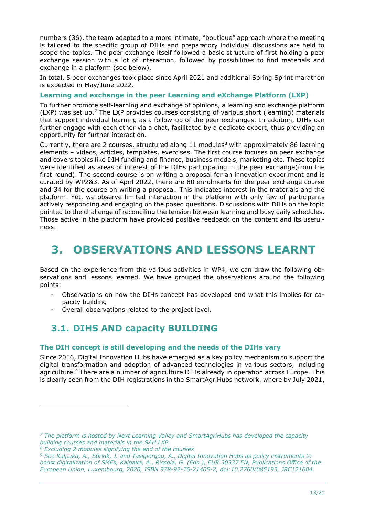numbers (36), the team adapted to a more intimate, "boutique" approach where the meeting is tailored to the specific group of DIHs and preparatory individual discussions are held to scope the topics. The peer exchange itself followed a basic structure of first holding a peer exchange session with a lot of interaction, followed by possibilities to find materials and exchange in a platform (see below).

In total, 5 peer exchanges took place since April 2021 and additional Spring Sprint marathon is expected in May/June 2022.

#### **Learning and exchange in the peer Learning and eXchange Platform (LXP)**

To further promote self-learning and exchange of opinions, a learning and exchange platform (LXP) was set up.<sup>7</sup> The LXP provides courses consisting of various short (learning) materials that support individual learning as a follow-up of the peer exchanges. In addition, DIHs can further engage with each other via a chat, facilitated by a dedicate expert, thus providing an opportunity for further interaction.

Currently, there are 2 courses, structured along  $11$  modules<sup>8</sup> with approximately 86 learning elements – videos, articles, templates, exercises. The first course focuses on peer exchange and covers topics like DIH funding and finance, business models, marketing etc. These topics were identified as areas of interest of the DIHs participating in the peer exchange(from the first round). The second course is on writing a proposal for an innovation experiment and is curated by WP2&3. As of April 2022, there are 80 enrolments for the peer exchange course and 34 for the course on writing a proposal. This indicates interest in the materials and the platform. Yet, we observe limited interaction in the platform with only few of participants actively responding and engaging on the posed questions. Discussions with DIHs on the topic pointed to the challenge of reconciling the tension between learning and busy daily schedules. Those active in the platform have provided positive feedback on the content and its usefulness.

## <span id="page-12-0"></span>**3. OBSERVATIONS AND LESSONS LEARNT**

Based on the experience from the various activities in WP4, we can draw the following observations and lessons learned. We have grouped the observations around the following points:

- Observations on how the DIHs concept has developed and what this implies for capacity building
- Overall observations related to the project level.

### <span id="page-12-1"></span>**3.1. DIHS AND capacity BUILDING**

#### **The DIH concept is still developing and the needs of the DIHs vary**

Since 2016, Digital Innovation Hubs have emerged as a key policy mechanism to support the digital transformation and adoption of advanced technologies in various sectors, including agriculture.<sup>9</sup> There are a number of agriculture DIHs already in operation across Europe. This is clearly seen from the DIH registrations in the SmartAgriHubs network, where by July 2021,

*<sup>7</sup> The platform is hosted by Next Learning Valley and SmartAgriHubs has developed the capacity building courses and materials in the SAH LXP.*

*<sup>8</sup> Excluding 2 modules signifying the end of the courses*

*<sup>9</sup> See Kalpaka, A., Sörvik, J. and Tasigiorgou, A., Digital Innovation Hubs as policy instruments to boost digitalization of SMEs, Kalpaka, A., Rissola, G. (Eds.), EUR 30337 EN, Publications Office of the European Union, Luxembourg, 2020, ISBN 978-92-76-21405-2, doi:10.2760/085193, JRC121604.*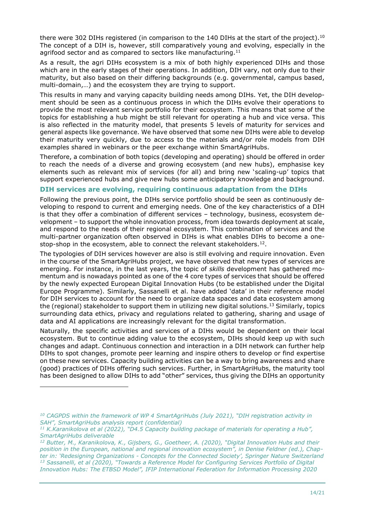there were 302 DIHs registered (in comparison to the 140 DIHs at the start of the project).<sup>10</sup> The concept of a DIH is, however, still comparatively young and evolving, especially in the agrifood sector and as compared to sectors like manufacturing. $11$ 

As a result, the agri DIHs ecosystem is a mix of both highly experienced DIHs and those which are in the early stages of their operations. In addition, DIH vary, not only due to their maturity, but also based on their differing backgrounds (e.g. governmental, campus based, multi-domain,…) and the ecosystem they are trying to support.

This results in many and varying capacity building needs among DIHs. Yet, the DIH development should be seen as a continuous process in which the DIHs evolve their operations to provide the most relevant service portfolio for their ecosystem. This means that some of the topics for establishing a hub might be still relevant for operating a hub and vice versa. This is also reflected in the maturity model, that presents 5 levels of maturity for services and general aspects like governance. We have observed that some new DIHs were able to develop their maturity very quickly, due to access to the materials and/or role models from DIH examples shared in webinars or the peer exchange within SmartAgriHubs.

Therefore, a combination of both topics (developing and operating) should be offered in order to reach the needs of a diverse and growing ecosystem (and new hubs), emphasise key elements such as relevant mix of services (for all) and bring new 'scaling-up' topics that support experienced hubs and give new hubs some anticipatory knowledge and background.

#### **DIH services are evolving, requiring continuous adaptation from the DIHs**

Following the previous point, the DIHs service portfolio should be seen as continuously developing to respond to current and emerging needs. One of the key characteristics of a DIH is that they offer a combination of different services – technology, business, ecosystem development – to support the whole innovation process, from idea towards deployment at scale, and respond to the needs of their regional ecosystem. This combination of services and the multi-partner organization often observed in DIHs is what enables DIHs to become a onestop-shop in the ecosystem, able to connect the relevant stakeholders.<sup>12</sup>.

The typologies of DIH services however are also is still evolving and require innovation. Even in the course of the SmartAgriHubs project, we have observed that new types of services are emerging. For instance, in the last years, the topic of *skills* development has gathered momentum and is nowadays pointed as one of the 4 core types of services that should be offered by the newly expected European Digital Innovation Hubs (to be established under the Digital Europe Programme). Similarly, Sassanelli et al. have added 'data' in their reference model for DIH services to account for the need to organize data spaces and data ecosystem among the (regional) stakeholder to support them in utilizing new digital solutions.<sup>13</sup> Similarly, topics surrounding data ethics, privacy and regulations related to gathering, sharing and usage of data and AI applications are increasingly relevant for the digital transformation.

Naturally, the specific activities and services of a DIHs would be dependent on their local ecosystem. But to continue adding value to the ecosystem, DIHs should keep up with such changes and adapt. Continuous connection and interaction in a DIH network can further help DIHs to spot changes, promote peer learning and inspire others to develop or find expertise on these new services. Capacity building activities can be a way to bring awareness and share (good) practices of DIHs offering such services. Further, in SmartAgriHubs, the maturity tool has been designed to allow DIHs to add "other" services, thus giving the DIHs an opportunity

*<sup>10</sup> CAGPDS within the framework of WP 4 SmartAgriHubs (July 2021), "DIH registration activity in SAH", SmartAgriHubs analysis report (confidential)*

*<sup>11</sup> K.Karanikolova et al (2022), "D4.5 Capacity building package of materials for operating a Hub", SmartAgriHubs deliverable*

*<sup>12</sup> Butter, M., Karanikolova, K., Gijsbers, G., Goetheer, A. (2020), "Digital Innovation Hubs and their position in the European, national and regional innovation ecosystem", in Denise Feldner (ed.), Chapter in: 'Redesigning Organizations - Concepts for the Connected Society', Springer Nature Switzerland <sup>13</sup> Sassanelli, et al (2020), "Towards a Reference Model for Configuring Services Portfolio of Digital Innovation Hubs: The ETBSD Model", IFIP International Federation for Information Processing 2020*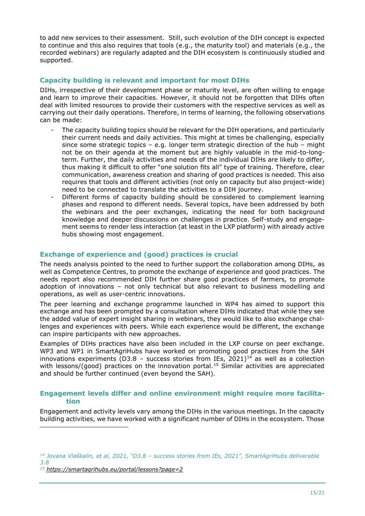to add new services to their assessment. Still, such evolution of the DIH concept is expected to continue and this also requires that tools (e.g., the maturity tool) and materials (e.g., the recorded webinars) are regularly adapted and the DIH ecosystem is continuously studied and supported.

#### **Capacity building is relevant and important for most DIHs**

DIHs, irrespective of their development phase or maturity level, are often willing to engage and learn to improve their capacities. However, it should not be forgotten that DIHs often deal with limited resources to provide their customers with the respective services as well as carrying out their daily operations. Therefore, in terms of learning, the following observations can be made:

- The capacity building topics should be relevant for the DIH operations, and particularly their current needs and daily activities. This might at times be challenging, especially since some strategic topics – e.g. longer term strategic direction of the hub – might not be on their agenda at the moment but are highly valuable in the mid-to-longterm. Further, the daily activities and needs of the individual DIHs are likely to differ, thus making it difficult to offer "one solution fits all" type of training. Therefore, clear communication, awareness creation and sharing of good practices is needed. This also requires that tools and different activities (not only on capacity but also project-wide) need to be connected to translate the activities to a DIH journey.
- Different forms of capacity building should be considered to complement learning phases and respond to different needs. Several topics, have been addressed by both the webinars and the peer exchanges, indicating the need for both background knowledge and deeper discussions on challenges in practice. Self-study and engagement seems to render less interaction (at least in the LXP platform) with already active hubs showing most engagement.

#### **Exchange of experience and (good) practices is crucial**

The needs analysis pointed to the need to further support the collaboration among DIHs, as well as Competence Centres, to promote the exchange of experience and good practices. The needs report also recommended DIH further share good practices of farmers, to promote adoption of innovations – not only technical but also relevant to business modelling and operations, as well as user-centric innovations.

The peer learning and exchange programme launched in WP4 has aimed to support this exchange and has been prompted by a consultation where DIHs indicated that while they see the added value of expert insight sharing in webinars, they would like to also exchange challenges and experiences with peers. While each experience would be different, the exchange can inspire participants with new approaches.

Examples of DIHs practices have also been included in the LXP course on peer exchange. WP3 and WP1 in SmartAgriHubs have worked on promoting good practices from the SAH innovations experiments (D3.8 - success stories from IEs, 2021)<sup>14</sup> as well as a collection with lessons/(good) practices on the innovation portal.<sup>15</sup> Similar activities are appreciated and should be further continued (even beyond the SAH).

#### **Engagement levels differ and online environment might require more facilitation**

Engagement and activity levels vary among the DIHs in the various meetings. In the capacity building activities, we have worked with a significant number of DIHs in the ecosystem. Those

*<sup>14</sup> Jovana Vlaškalin, et al, 2021, "D3.8 – success stories from IEs, 2021", SmartAgriHubs deliverable 3.8*

*<sup>15</sup> <https://smartagrihubs.eu/portal/lessons?page=2>*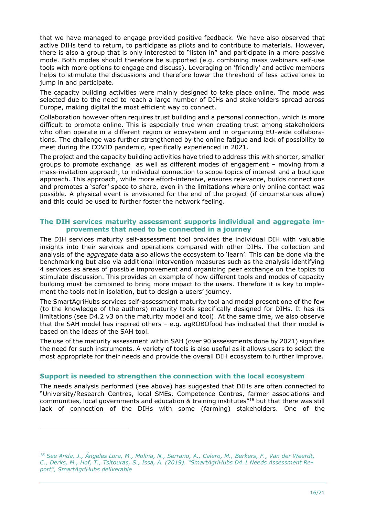that we have managed to engage provided positive feedback. We have also observed that active DIHs tend to return, to participate as pilots and to contribute to materials. However, there is also a group that is only interested to "listen in" and participate in a more passive mode. Both modes should therefore be supported (e.g. combining mass webinars self-use tools with more options to engage and discuss). Leveraging on 'friendly' and active members helps to stimulate the discussions and therefore lower the threshold of less active ones to jump in and participate.

The capacity building activities were mainly designed to take place online. The mode was selected due to the need to reach a large number of DIHs and stakeholders spread across Europe, making digital the most efficient way to connect.

Collaboration however often requires trust building and a personal connection, which is more difficult to promote online. This is especially true when creating trust among stakeholders who often operate in a different region or ecosystem and in organizing EU-wide collaborations. The challenge was further strengthened by the online fatigue and lack of possibility to meet during the COVID pandemic, specifically experienced in 2021.

The project and the capacity building activities have tried to address this with shorter, smaller groups to promote exchange as well as different modes of engagement – moving from a mass-invitation approach, to individual connection to scope topics of interest and a boutique approach. This approach, while more effort-intensive, ensures relevance, builds connections and promotes a 'safer' space to share, even in the limitations where only online contact was possible. A physical event is envisioned for the end of the project (if circumstances allow) and this could be used to further foster the network feeling.

#### **The DIH services maturity assessment supports individual and aggregate improvements that need to be connected in a journey**

The DIH services maturity self-assessment tool provides the individual DIH with valuable insights into their services and operations compared with other DIHs. The collection and analysis of the *aggregate* data also allows the ecosystem to 'learn'. This can be done via the benchmarking but also via additional intervention measures such as the analysis identifying 4 services as areas of possible improvement and organizing peer exchange on the topics to stimulate discussion. This provides an example of how different tools and modes of capacity building must be combined to bring more impact to the users. Therefore it is key to implement the tools not in isolation, but to design a users' journey.

The SmartAgriHubs services self-assessment maturity tool and model present one of the few (to the knowledge of the authors) maturity tools specifically designed for DIHs. It has its limitations (see D4.2 v3 on the maturity model and tool). At the same time, we also observe that the SAH model has inspired others – e.g. agROBOfood has indicated that their model is based on the ideas of the SAH tool.

The use of the maturity assessment within SAH (over 90 assessments done by 2021) signifies the need for such instruments. A variety of tools is also useful as it allows users to select the most appropriate for their needs and provide the overall DIH ecosystem to further improve.

#### **Support is needed to strengthen the connection with the local ecosystem**

The needs analysis performed (see above) has suggested that DIHs are often connected to "University/Research Centres, local SMEs, Competence Centres, farmer associations and communities, local governments and education & training institutes<sup>"16</sup> but that there was still lack of connection of the DIHs with some (farming) stakeholders. One of the

*<sup>16</sup> See Anda, J., Ángeles Lora, M., Molina, N., Serrano, A., Calero, M., Berkers, F., Van der Weerdt, C., Derks, M., Hof, T., Tsitouras, S., Issa, A. (2019). "SmartAgriHubs D4.1 Needs Assessment Report", SmartAgriHubs deliverable*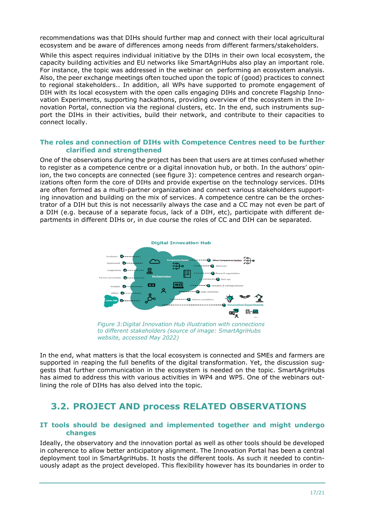recommendations was that DIHs should further map and connect with their local agricultural ecosystem and be aware of differences among needs from different farmers/stakeholders.

While this aspect requires individual initiative by the DIHs in their own local ecosystem, the capacity building activities and EU networks like SmartAgriHubs also play an important role. For instance, the topic was addressed in the webinar on performing an ecosystem analysis. Also, the peer exchange meetings often touched upon the topic of (good) practices to connect to regional stakeholders.. In addition, all WPs have supported to promote engagement of DIH with its local ecosystem with the open calls engaging DIHs and concrete Flagship Innovation Experiments, supporting hackathons, providing overview of the ecosystem in the Innovation Portal, connection via the regional clusters, etc. In the end, such instruments support the DIHs in their activities, build their network, and contribute to their capacities to connect locally.

#### **The roles and connection of DIHs with Competence Centres need to be further clarified and strengthened**

One of the observations during the project has been that users are at times confused whether to register as a competence centre or a digital innovation hub, or both. In the authors' opinion, the two concepts are connected (see figure 3): competence centres and research organizations often form the core of DIHs and provide expertise on the technology services. DIHs are often formed as a multi-partner organization and connect various stakeholders supporting innovation and building on the mix of services. A competence centre can be the orchestrator of a DIH but this is not necessarily always the case and a CC may not even be part of a DIH (e.g. because of a separate focus, lack of a DIH, etc), participate with different departments in different DIHs or, in due course the roles of CC and DIH can be separated.



*Figure 3:Digital Innovation Hub illustration with connections to different stakeholders (source of image: SmartAgriHubs website, accessed May 2022)*

In the end, what matters is that the local ecosystem is connected and SMEs and farmers are supported in reaping the full benefits of the digital transformation. Yet, the discussion suggests that further communication in the ecosystem is needed on the topic. SmartAgriHubs has aimed to address this with various activities in WP4 and WP5. One of the webinars outlining the role of DIHs has also delved into the topic.

### <span id="page-16-0"></span>**3.2. PROJECT AND process RELATED OBSERVATIONS**

#### **IT tools should be designed and implemented together and might undergo changes**

Ideally, the observatory and the innovation portal as well as other tools should be developed in coherence to allow better anticipatory alignment. The Innovation Portal has been a central deployment tool in SmartAgriHubs. It hosts the different tools. As such it needed to continuously adapt as the project developed. This flexibility however has its boundaries in order to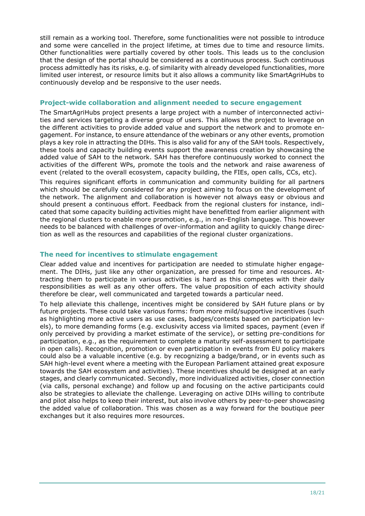still remain as a working tool. Therefore, some functionalities were not possible to introduce and some were cancelled in the project lifetime, at times due to time and resource limits. Other functionalities were partially covered by other tools. This leads us to the conclusion that the design of the portal should be considered as a continuous process. Such continuous process admittedly has its risks, e.g. of similarity with already developed functionalities, more limited user interest, or resource limits but it also allows a community like SmartAgriHubs to continuously develop and be responsive to the user needs.

#### **Project-wide collaboration and alignment needed to secure engagement**

The SmartAgriHubs project presents a large project with a number of interconnected activities and services targeting a diverse group of users. This allows the project to leverage on the different activities to provide added value and support the network and to promote engagement. For instance, to ensure attendance of the webinars or any other events, promotion plays a key role in attracting the DIHs. This is also valid for any of the SAH tools. Respectively, these tools and capacity building events support the awareness creation by showcasing the added value of SAH to the network. SAH has therefore continuously worked to connect the activities of the different WPs, promote the tools and the network and raise awareness of event (related to the overall ecosystem, capacity building, the FIEs, open calls, CCs, etc).

This requires significant efforts in communication and community building for all partners which should be carefully considered for any project aiming to focus on the development of the network. The alignment and collaboration is however not always easy or obvious and should present a continuous effort. Feedback from the regional clusters for instance, indicated that some capacity building activities might have benefitted from earlier alignment with the regional clusters to enable more promotion, e.g., in non-English language. This however needs to be balanced with challenges of over-information and agility to quickly change direction as well as the resources and capabilities of the regional cluster organizations.

#### **The need for incentives to stimulate engagement**

Clear added value and incentives for participation are needed to stimulate higher engagement. The DIHs, just like any other organization, are pressed for time and resources. Attracting them to participate in various activities is hard as this competes with their daily responsibilities as well as any other offers. The value proposition of each activity should therefore be clear, well communicated and targeted towards a particular need.

To help alleviate this challenge, incentives might be considered by SAH future plans or by future projects. These could take various forms: from more mild/supportive incentives (such as highlighting more active users as use cases, badges/contests based on participation levels), to more demanding forms (e.g. exclusivity access via limited spaces, payment (even if only perceived by providing a market estimate of the service), or setting pre-conditions for participation, e.g., as the requirement to complete a maturity self-assessment to participate in open calls). Recognition, promotion or even participation in events from EU policy makers could also be a valuable incentive (e.g. by recognizing a badge/brand, or in events such as SAH high-level event where a meeting with the European Parliament attained great exposure towards the SAH ecosystem and activities). These incentives should be designed at an early stages, and clearly communicated. Secondly, more individualized activities, closer connection (via calls, personal exchange) and follow up and focusing on the active participants could also be strategies to alleviate the challenge. Leveraging on active DIHs willing to contribute and pilot also helps to keep their interest, but also involve others by peer-to-peer showcasing the added value of collaboration. This was chosen as a way forward for the boutique peer exchanges but it also requires more resources.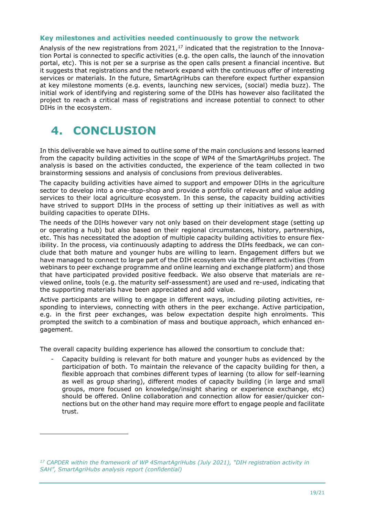#### **Key milestones and activities needed continuously to grow the network**

Analysis of the new registrations from  $2021<sub>1</sub>^{17}$  indicated that the registration to the Innovation Portal is connected to specific activities (e.g. the open calls, the launch of the innovation portal, etc). This is not per se a surprise as the open calls present a financial incentive. But it suggests that registrations and the network expand with the continuous offer of interesting services or materials. In the future, SmartAgriHubs can therefore expect further expansion at key milestone moments (e.g. events, launching new services, (social) media buzz). The initial work of identifying and registering some of the DIHs has however also facilitated the project to reach a critical mass of registrations and increase potential to connect to other DIHs in the ecosystem.

## <span id="page-18-0"></span>**4. CONCLUSION**

In this deliverable we have aimed to outline some of the main conclusions and lessons learned from the capacity building activities in the scope of WP4 of the SmartAgriHubs project. The analysis is based on the activities conducted, the experience of the team collected in two brainstorming sessions and analysis of conclusions from previous deliverables.

The capacity building activities have aimed to support and empower DIHs in the agriculture sector to develop into a one-stop-shop and provide a portfolio of relevant and value adding services to their local agriculture ecosystem. In this sense, the capacity building activities have strived to support DIHs in the process of setting up their initiatives as well as with building capacities to operate DIHs.

The needs of the DIHs however vary not only based on their development stage (setting up or operating a hub) but also based on their regional circumstances, history, partnerships, etc. This has necessitated the adoption of multiple capacity building activities to ensure flexibility. In the process, via continuously adapting to address the DIHs feedback, we can conclude that both mature and younger hubs are willing to learn. Engagement differs but we have managed to connect to large part of the DIH ecosystem via the different activities (from webinars to peer exchange programme and online learning and exchange platform) and those that have participated provided positive feedback. We also observe that materials are reviewed online, tools (e.g. the maturity self-assessment) are used and re-used, indicating that the supporting materials have been appreciated and add value.

Active participants are willing to engage in different ways, including piloting activities, responding to interviews, connecting with others in the peer exchange. Active participation, e.g. in the first peer exchanges, was below expectation despite high enrolments. This prompted the switch to a combination of mass and boutique approach, which enhanced engagement.

The overall capacity building experience has allowed the consortium to conclude that:

Capacity building is relevant for both mature and younger hubs as evidenced by the participation of both. To maintain the relevance of the capacity building for then, a flexible approach that combines different types of learning (to allow for self-learning as well as group sharing), different modes of capacity building (in large and small groups, more focused on knowledge/insight sharing or experience exchange, etc) should be offered. Online collaboration and connection allow for easier/quicker connections but on the other hand may require more effort to engage people and facilitate trust.

*<sup>17</sup> CAPDER within the framework of WP 4SmartAgriHubs (July 2021), "DIH registration activity in SAH", SmartAgriHubs analysis report (confidential)*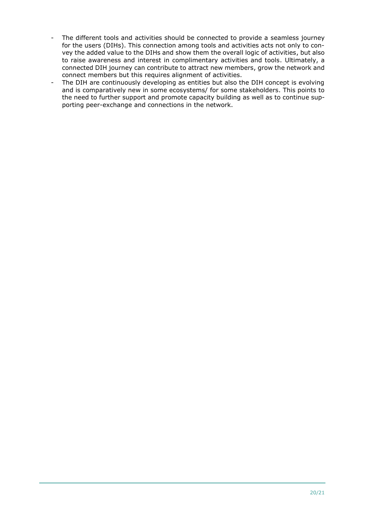- The different tools and activities should be connected to provide a seamless journey for the users (DIHs). This connection among tools and activities acts not only to convey the added value to the DIHs and show them the overall logic of activities, but also to raise awareness and interest in complimentary activities and tools. Ultimately, a connected DIH journey can contribute to attract new members, grow the network and connect members but this requires alignment of activities.
- The DIH are continuously developing as entities but also the DIH concept is evolving and is comparatively new in some ecosystems/ for some stakeholders. This points to the need to further support and promote capacity building as well as to continue supporting peer-exchange and connections in the network.